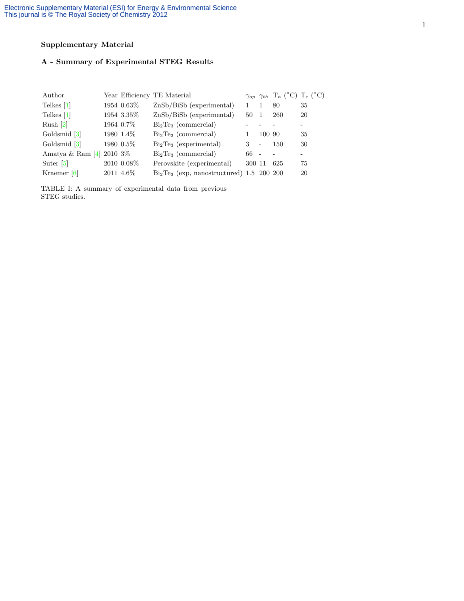# Supplementary Material

# A - Summary of Experimental STEG Results

| Author                |          |            | Year Efficiency TE Material                |        |                          | $\gamma_{op}$ $\gamma_{th}$ T <sub>h</sub> (°C) T <sub>c</sub> (°C) |    |
|-----------------------|----------|------------|--------------------------------------------|--------|--------------------------|---------------------------------------------------------------------|----|
| Telkes $[1]$          |          | 1954 0.63% | $ZnSb/BiSb$ (experimental)                 |        |                          | 80                                                                  | 35 |
| Telkes $[1]$          |          | 1954 3.35% | ZnSb/BiSb (experimental)                   | 50     |                          | 260                                                                 | 20 |
| Rush $[2]$            |          | 1964 0.7%  | $Bi2Te3$ (commercial)                      |        |                          |                                                                     |    |
| Goldsmid [3]          |          | 1980 1.4%  | $Bi2Te3$ (commercial)                      |        | 100 90                   |                                                                     | 35 |
| Goldsmid [3]          |          | 1980 0.5%  | $Bi2Te3$ (experimental)                    | 3      | $\overline{\phantom{a}}$ | 150                                                                 | 30 |
| Amatya & Ram $[4]$    | 2010 3\% |            | $Bi2Te3$ (commercial)                      | 66 -   |                          |                                                                     | -  |
| Suter $\vert 5 \vert$ |          | 2010 0.08% | Perovskite (experimental)                  | 300 11 |                          | 625                                                                 | 75 |
| Kraemer $[6]$         |          | 2011 4.6\% | $Bi2Te3$ (exp. nanostructured) 1.5 200 200 |        |                          |                                                                     | 20 |

TABLE I: A summary of experimental data from previous STEG studies.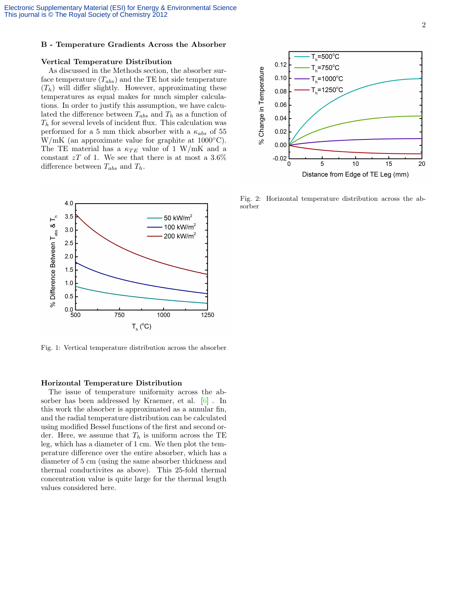### B - Temperature Gradients Across the Absorber

#### Vertical Temperature Distribution

As discussed in the Methods section, the absorber surface temperature  $(T_{abs})$  and the TE hot side temperature  $(T_h)$  will differ slightly. However, approximating these temperatures as equal makes for much simpler calculations. In order to justify this assumption, we have calculated the difference between  $T_{abs}$  and  $T_h$  as a function of  $T_h$  for several levels of incident flux. This calculation was performed for a 5 mm thick absorber with a  $\kappa_{abs}$  of 55 W/mK (an approximate value for graphite at  $1000\textdegree C$ ). The TE material has a  $\kappa_{TE}$  value of 1 W/mK and a constant  $zT$  of 1. We see that there is at most a  $3.6\%$ difference between  $T_{abs}$  and  $T_h$ .



Fig. 1: Vertical temperature distribution across the absorber

### Horizontal Temperature Distribution

The issue of temperature uniformity across the absorber has been addressed by Kraemer, et al. [\[6\]](#page-2-5) . In this work the absorber is approximated as a annular fin, and the radial temperature distribution can be calculated using modified Bessel functions of the first and second order. Here, we assume that  $T_h$  is uniform across the TE leg, which has a diameter of 1 cm. We then plot the temperature difference over the entire absorber, which has a diameter of 5 cm (using the same absorber thickness and thermal conductivites as above). This 25-fold thermal concentration value is quite large for the thermal length values considered here.



Fig. 2: Horizontal temperature distribution across the absorber